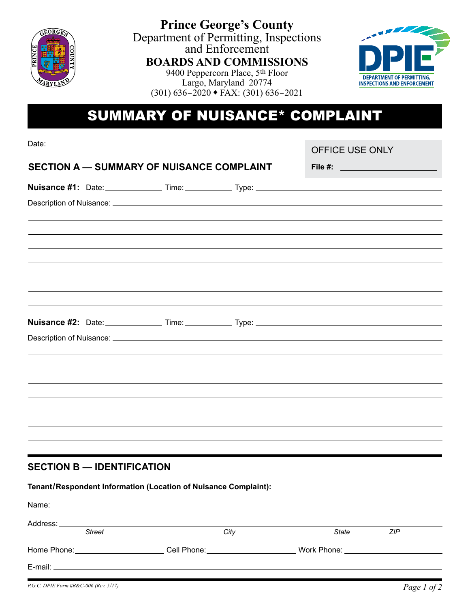

**Prince George's County** Department of Permitting, Inspections and Enforcement **BOARDS AND COMMISSIONS** 9400 Peppercorn Place, 5th Floor



Largo, Maryland 20774  $(301)$  636–2020 • FAX: (301) 636–2021

## SUMMARY OF NUISANCE\* COMPLAINT

|  |                                   |                                                                                                                                                                                                                               | <b>OFFICE USE ONLY</b>                                                            |  |
|--|-----------------------------------|-------------------------------------------------------------------------------------------------------------------------------------------------------------------------------------------------------------------------------|-----------------------------------------------------------------------------------|--|
|  |                                   |                                                                                                                                                                                                                               |                                                                                   |  |
|  |                                   | SECTION A - SUMMARY OF NUISANCE COMPLAINT                                                                                                                                                                                     | File #: ______________________                                                    |  |
|  |                                   |                                                                                                                                                                                                                               |                                                                                   |  |
|  |                                   |                                                                                                                                                                                                                               |                                                                                   |  |
|  |                                   |                                                                                                                                                                                                                               |                                                                                   |  |
|  |                                   |                                                                                                                                                                                                                               |                                                                                   |  |
|  |                                   |                                                                                                                                                                                                                               |                                                                                   |  |
|  |                                   |                                                                                                                                                                                                                               |                                                                                   |  |
|  |                                   |                                                                                                                                                                                                                               |                                                                                   |  |
|  |                                   |                                                                                                                                                                                                                               |                                                                                   |  |
|  |                                   |                                                                                                                                                                                                                               |                                                                                   |  |
|  |                                   |                                                                                                                                                                                                                               |                                                                                   |  |
|  |                                   |                                                                                                                                                                                                                               |                                                                                   |  |
|  |                                   |                                                                                                                                                                                                                               |                                                                                   |  |
|  |                                   |                                                                                                                                                                                                                               |                                                                                   |  |
|  |                                   |                                                                                                                                                                                                                               |                                                                                   |  |
|  |                                   |                                                                                                                                                                                                                               |                                                                                   |  |
|  |                                   |                                                                                                                                                                                                                               | ,我们也不会有什么。""我们的人,我们也不会有什么?""我们的人,我们也不会有什么?""我们的人,我们也不会有什么?""我们的人,我们也不会有什么?""我们的人  |  |
|  |                                   |                                                                                                                                                                                                                               | ,我们也不能会有什么。""我们的人,我们也不能会有什么?""我们的人,我们也不能会有什么?""我们的人,我们也不能会有什么?""我们的人,我们也不能会有什么?"" |  |
|  |                                   |                                                                                                                                                                                                                               |                                                                                   |  |
|  | <b>SECTION B - IDENTIFICATION</b> |                                                                                                                                                                                                                               |                                                                                   |  |
|  |                                   |                                                                                                                                                                                                                               |                                                                                   |  |
|  |                                   | Tenant/Respondent Information (Location of Nuisance Complaint):                                                                                                                                                               |                                                                                   |  |
|  |                                   | Name: Name: Name: Name: Name: Name: Name: Name: Name: Name: Name: Name: Name: Name: Name: Name: Name: Name: Name: Name: Name: Name: Name: Name: Name: Name: Name: Name: Name: Name: Name: Name: Name: Name: Name: Name: Name: |                                                                                   |  |

| Address:    |        |                  |                                  |            |
|-------------|--------|------------------|----------------------------------|------------|
|             | Street | City             | <b>State</b>                     | <b>ZIP</b> |
| Home Phone: |        | Cell Phone: ____ | Work Phone: ____________________ |            |
| E-mail:     |        |                  |                                  |            |